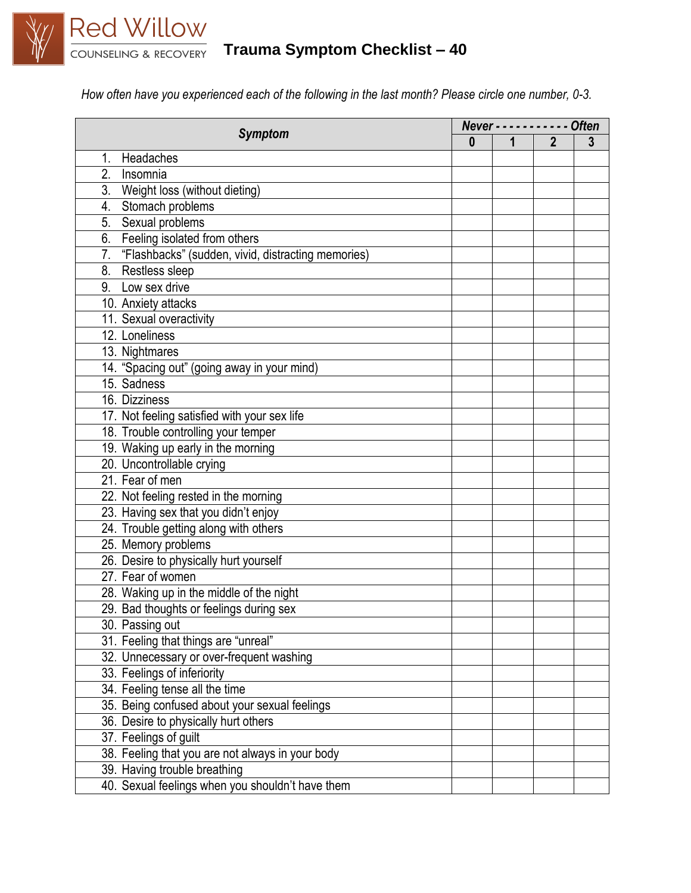

## **Trauma Symptom Checklist – 40**

*How often have you experienced each of the following in the last month? Please circle one number, 0-3.*

| <b>Symptom</b>                                        | Never - - - - - - - -<br>$--$ Often |   |              |   |
|-------------------------------------------------------|-------------------------------------|---|--------------|---|
|                                                       | $\bf{0}$                            | 1 | $\mathbf{2}$ | 3 |
| Headaches<br>1.                                       |                                     |   |              |   |
| 2.<br>Insomnia                                        |                                     |   |              |   |
| 3. Weight loss (without dieting)                      |                                     |   |              |   |
| 4. Stomach problems                                   |                                     |   |              |   |
| Sexual problems<br>5.                                 |                                     |   |              |   |
| 6. Feeling isolated from others                       |                                     |   |              |   |
| 7. "Flashbacks" (sudden, vivid, distracting memories) |                                     |   |              |   |
| 8. Restless sleep                                     |                                     |   |              |   |
| 9. Low sex drive                                      |                                     |   |              |   |
| 10. Anxiety attacks                                   |                                     |   |              |   |
| 11. Sexual overactivity                               |                                     |   |              |   |
| 12. Loneliness                                        |                                     |   |              |   |
| 13. Nightmares                                        |                                     |   |              |   |
| 14. "Spacing out" (going away in your mind)           |                                     |   |              |   |
| 15. Sadness                                           |                                     |   |              |   |
| 16. Dizziness                                         |                                     |   |              |   |
| 17. Not feeling satisfied with your sex life          |                                     |   |              |   |
| 18. Trouble controlling your temper                   |                                     |   |              |   |
| 19. Waking up early in the morning                    |                                     |   |              |   |
| 20. Uncontrollable crying                             |                                     |   |              |   |
| 21. Fear of men                                       |                                     |   |              |   |
| 22. Not feeling rested in the morning                 |                                     |   |              |   |
| 23. Having sex that you didn't enjoy                  |                                     |   |              |   |
| 24. Trouble getting along with others                 |                                     |   |              |   |
| 25. Memory problems                                   |                                     |   |              |   |
| 26. Desire to physically hurt yourself                |                                     |   |              |   |
| 27. Fear of women                                     |                                     |   |              |   |
| 28. Waking up in the middle of the night              |                                     |   |              |   |
| 29. Bad thoughts or feelings during sex               |                                     |   |              |   |
| 30. Passing out                                       |                                     |   |              |   |
| 31. Feeling that things are "unreal"                  |                                     |   |              |   |
| 32. Unnecessary or over-frequent washing              |                                     |   |              |   |
| 33. Feelings of inferiority                           |                                     |   |              |   |
| 34. Feeling tense all the time                        |                                     |   |              |   |
| 35. Being confused about your sexual feelings         |                                     |   |              |   |
| 36. Desire to physically hurt others                  |                                     |   |              |   |
| 37. Feelings of guilt                                 |                                     |   |              |   |
| 38. Feeling that you are not always in your body      |                                     |   |              |   |
| 39. Having trouble breathing                          |                                     |   |              |   |
| 40. Sexual feelings when you shouldn't have them      |                                     |   |              |   |